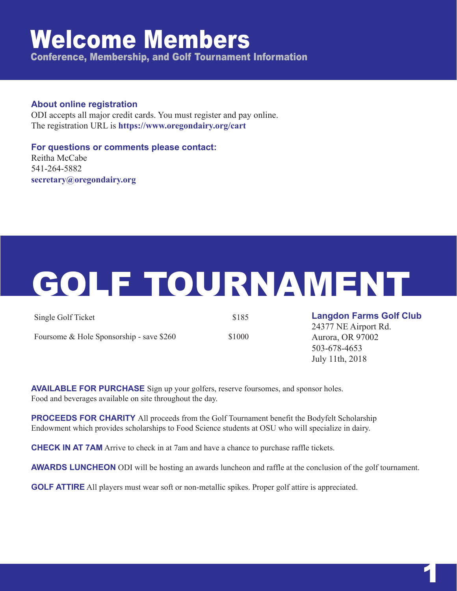### Welcome Members

Conference, Membership, and Golf Tournament Information

#### **About online registration**

ODI accepts all major credit cards. You must register and pay online. The registration URL is **https://www.oregondairy.org/cart**

**For questions or comments please contact:** Reitha McCabe 541-264-5882 **secretary@oregondairy.org**

# GOLF TOURNAMENT

| Single Golf Ticket                       | \$185  |
|------------------------------------------|--------|
| Foursome & Hole Sponsorship - save \$260 | \$1000 |

**Langdon Farms Golf Club**

24377 NE Airport Rd. Aurora, OR 97002 503-678-4653 July 11th, 2018

**AVAILABLE FOR PURCHASE** Sign up your golfers, reserve foursomes, and sponsor holes. Food and beverages available on site throughout the day.

**PROCEEDS FOR CHARITY** All proceeds from the Golf Tournament benefit the Bodyfelt Scholarship Endowment which provides scholarships to Food Science students at OSU who will specialize in dairy.

**CHECK IN AT 7AM** Arrive to check in at 7am and have a chance to purchase raffle tickets.

**AWARDS LUNCHEON** ODI will be hosting an awards luncheon and raffle at the conclusion of the golf tournament.

**GOLF ATTIRE** All players must wear soft or non-metallic spikes. Proper golf attire is appreciated.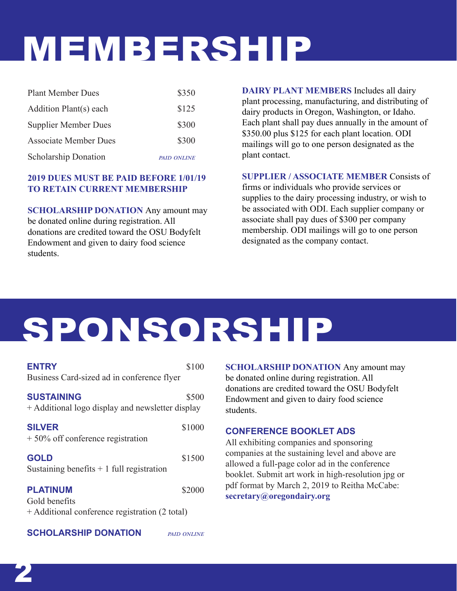## MEMBERSHIP

| <b>Plant Member Dues</b>     | \$350              |
|------------------------------|--------------------|
| Addition Plant(s) each       | \$125              |
| <b>Supplier Member Dues</b>  | \$300              |
| <b>Associate Member Dues</b> | \$300              |
| <b>Scholarship Donation</b>  | <b>PAID ONLINE</b> |

#### **2019 DUES MUST BE PAID BEFORE 1/01/19 TO RETAIN CURRENT MEMBERSHIP**

**SCHOLARSHIP DONATION** Any amount may be donated online during registration. All donations are credited toward the OSU Bodyfelt Endowment and given to dairy food science students.

**DAIRY PLANT MEMBERS** Includes all dairy plant processing, manufacturing, and distributing of dairy products in Oregon, Washington, or Idaho. Each plant shall pay dues annually in the amount of \$350.00 plus \$125 for each plant location. ODI mailings will go to one person designated as the plant contact.

#### **SUPPLIER / ASSOCIATE MEMBER** Consists of

firms or individuals who provide services or supplies to the dairy processing industry, or wish to be associated with ODI. Each supplier company or associate shall pay dues of \$300 per company membership. ODI mailings will go to one person designated as the company contact.

### SPONSORSHIP

| <b>ENTRY</b><br>Business Card-sized ad in conference flyer                         | \$100              |
|------------------------------------------------------------------------------------|--------------------|
| <b>SUSTAINING</b><br>+ Additional logo display and newsletter display              | \$500              |
| <b>SILVER</b><br>$+50\%$ off conference registration                               | \$1000             |
| <b>GOLD</b><br>Sustaining benefits $+1$ full registration                          | \$1500             |
| <b>PLATINUM</b><br>Gold benefits<br>+ Additional conference registration (2 total) | \$2000             |
| <b>SCHOLARSHIP DONATION</b>                                                        | <b>PAID ONLINE</b> |

**SCHOLARSHIP DONATION** Any amount may be donated online during registration. All donations are credited toward the OSU Bodyfelt Endowment and given to dairy food science students.

#### **CONFERENCE BOOKLET ADS**

All exhibiting companies and sponsoring companies at the sustaining level and above are allowed a full-page color ad in the conference booklet. Submit art work in high-resolution jpg or pdf format by March 2, 2019 to Reitha McCabe: **secretary@oregondairy.org**